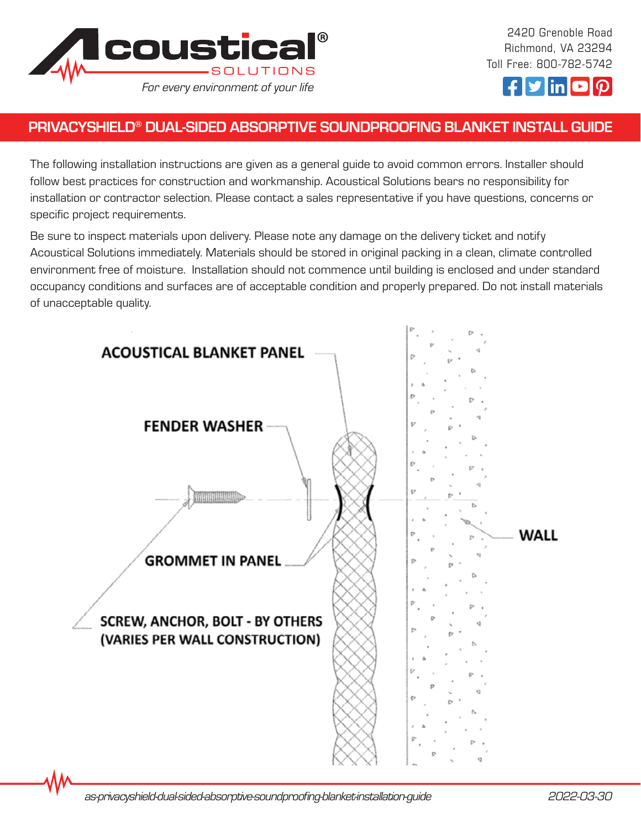

2420 Grenoble Road Richmond, VA 23294 Toll Free: 800-782-5742



## PRIVACYSHIELD® DUAL-SIDED ABSORPTIVE SOUNDPROOFING BLANKET INSTALL GUIDE

The following installation instructions are given as a general guide to avoid common errors. Installer should follow best practices for construction and workmanship. Acoustical Solutions bears no responsibility for installation or contractor selection. Please contact a sales representative if you have questions, concerns or specific project requirements.

Be sure to inspect materials upon delivery. Please note any damage on the delivery ticket and notify Acoustical Solutions immediately. Materials should be stored in original packing in a clean, climate controlled environment free of moisture. Installation should not commence until building is enclosed and under standard occupancy conditions and surfaces are of acceptable condition and properly prepared. Do not install materials of unacceptable quality.

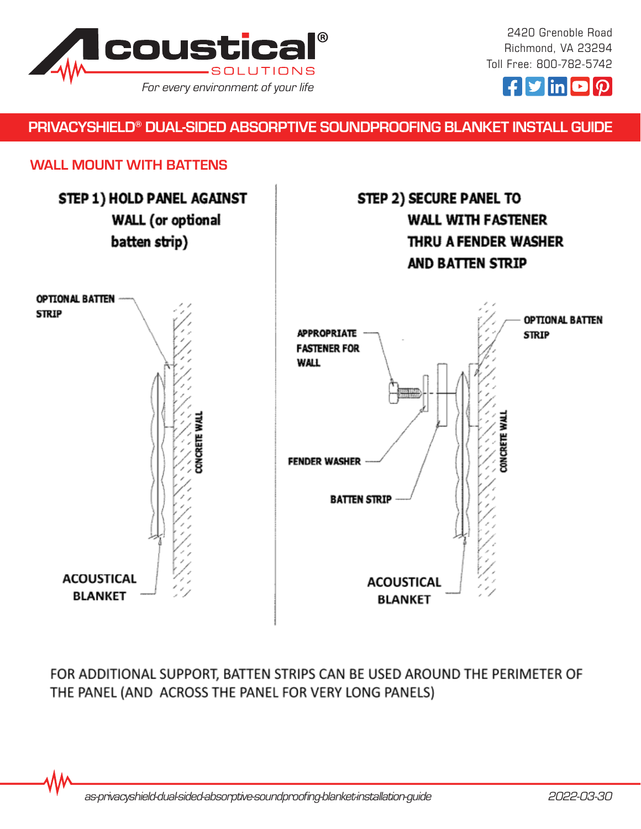

2420 Grenoble Road Richmond, VA 23294 Toll Free: 800-782-5742



#### PRIVACYSHIELD® DUAL-SIDED ABSORPTIVE SOUNDPROOFING BLANKET INSTALL GUIDE

#### WALL MOUNT WITH BATTENS



FOR ADDITIONAL SUPPORT, BATTEN STRIPS CAN BE USED AROUND THE PERIMETER OF THE PANEL (AND ACROSS THE PANEL FOR VERY LONG PANELS)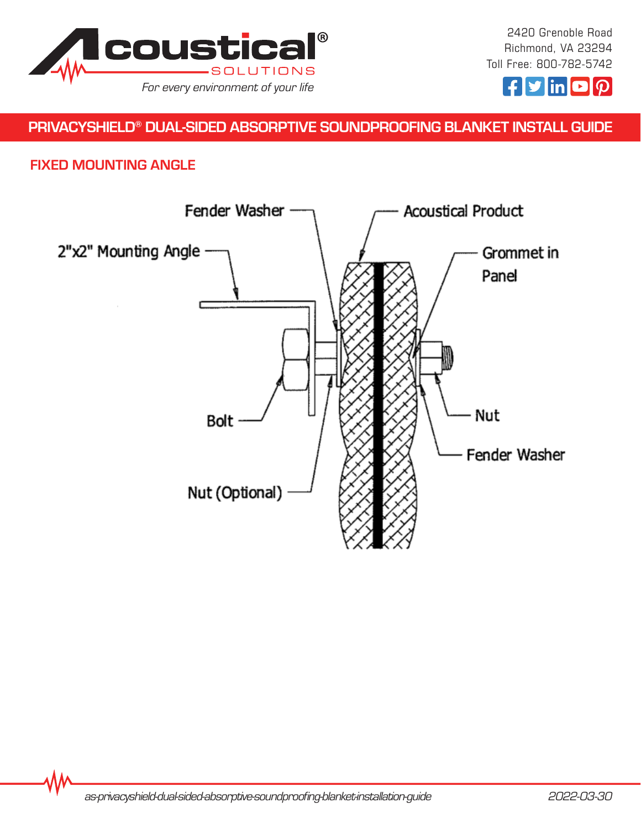



# PRIVACYSHIELD® DUAL-SIDED ABSORPTIVE SOUNDPROOFING BLANKET INSTALL GUIDE

### FIXED MOUNTING ANGLE